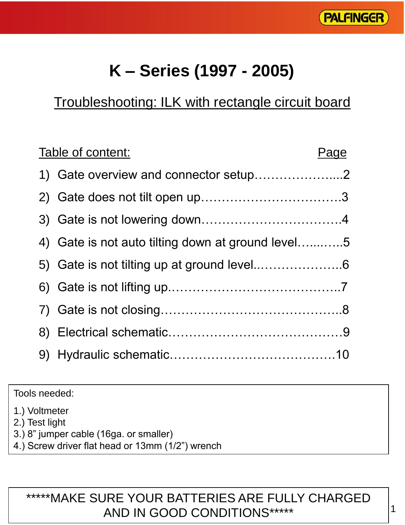

# **K – Series (1997 - 2005)**

# Troubleshooting: ILK with rectangle circuit board

| Table of content:                                 | Page |
|---------------------------------------------------|------|
| 1) Gate overview and connector setup2             |      |
|                                                   |      |
|                                                   |      |
| 4) Gate is not auto tilting down at ground level5 |      |
|                                                   |      |
|                                                   |      |
|                                                   |      |
|                                                   |      |
|                                                   |      |

Tools needed:

1.) Voltmeter

2.) Test light

- 3.) 8" jumper cable (16ga. or smaller)
- 4.) Screw driver flat head or 13mm (1/2") wrench

### \*\*\*\*\*MAKE SURE YOUR BATTERIES ARE FULLY CHARGED AND IN GOOD CONDITIONS\*\*\*\*\*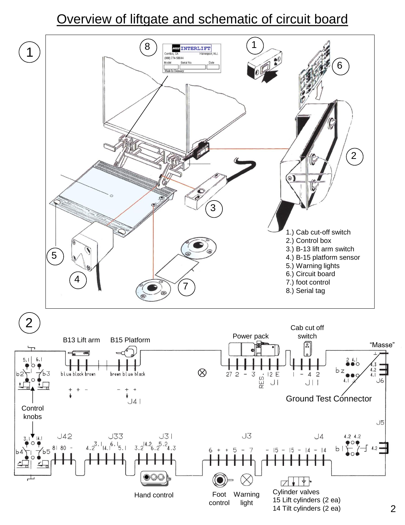### Overview of liftgate and schematic of circuit board

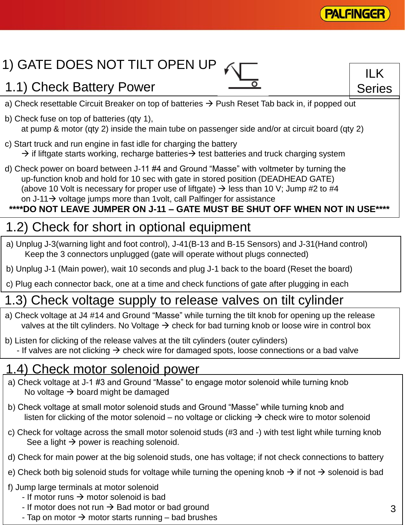

ILK

Series

# 1) GATE DOES NOT TILT OPEN UP

### 1.1) Check Battery Power

a) Check resettable Circuit Breaker on top of batteries  $\rightarrow$  Push Reset Tab back in, if popped out

- b) Check fuse on top of batteries (qty 1), at pump & motor (qty 2) inside the main tube on passenger side and/or at circuit board (qty 2)
- c) Start truck and run engine in fast idle for charging the battery  $\rightarrow$  if liftgate starts working, recharge batteries  $\rightarrow$  test batteries and truck charging system
- d) Check power on board between J-11 #4 and Ground "Masse" with voltmeter by turning the up-function knob and hold for 10 sec with gate in stored position (DEADHEAD GATE) (above 10 Volt is necessary for proper use of liftgate)  $\rightarrow$  less than 10 V; Jump #2 to #4 on J-11 $\rightarrow$  voltage jumps more than 1volt, call Palfinger for assistance

#### **\*\*\*\*DO NOT LEAVE JUMPER ON J-11 – GATE MUST BE SHUT OFF WHEN NOT IN USE\*\*\*\***

### 1.2) Check for short in optional equipment

- a) Unplug J-3(warning light and foot control), J-41(B-13 and B-15 Sensors) and J-31(Hand control) Keep the 3 connectors unplugged (gate will operate without plugs connected)
- b) Unplug J-1 (Main power), wait 10 seconds and plug J-1 back to the board (Reset the board)
- c) Plug each connector back, one at a time and check functions of gate after plugging in each

### 1.3) Check voltage supply to release valves on tilt cylinder

- a) Check voltage at J4 #14 and Ground "Masse" while turning the tilt knob for opening up the release valves at the tilt cylinders. No Voltage  $\rightarrow$  check for bad turning knob or loose wire in control box
- b) Listen for clicking of the release valves at the tilt cylinders (outer cylinders)
	- If valves are not clicking  $\rightarrow$  check wire for damaged spots, loose connections or a bad valve

### 1.4) Check motor solenoid power

- a) Check voltage at J-1 #3 and Ground "Masse" to engage motor solenoid while turning knob No voltage  $\rightarrow$  board might be damaged
- b) Check voltage at small motor solenoid studs and Ground "Masse" while turning knob and listen for clicking of the motor solenoid – no voltage or clicking  $\rightarrow$  check wire to motor solenoid
- c) Check for voltage across the small motor solenoid studs (#3 and -) with test light while turning knob See a light  $\rightarrow$  power is reaching solenoid.
- d) Check for main power at the big solenoid studs, one has voltage; if not check connections to battery
- e) Check both big solenoid studs for voltage while turning the opening knob  $\rightarrow$  if not  $\rightarrow$  solenoid is bad
- f) Jump large terminals at motor solenoid
	- If motor runs  $\rightarrow$  motor solenoid is bad
	- If motor does not run  $\rightarrow$  Bad motor or bad ground
	- Tap on motor  $\rightarrow$  motor starts running bad brushes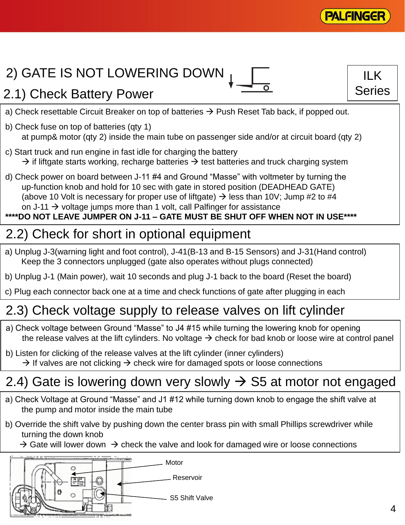

ILK

Series

# 2) GATE IS NOT LOWERING DOWN <sub>I</sub>

### 2.1) Check Battery Power

a) Check resettable Circuit Breaker on top of batteries  $\rightarrow$  Push Reset Tab back, if popped out.

- b) Check fuse on top of batteries (qty 1) at pump& motor (qty 2) inside the main tube on passenger side and/or at circuit board (qty 2)
- c) Start truck and run engine in fast idle for charging the battery  $\rightarrow$  if liftgate starts working, recharge batteries  $\rightarrow$  test batteries and truck charging system
- d) Check power on board between J-11 #4 and Ground "Masse" with voltmeter by turning the up-function knob and hold for 10 sec with gate in stored position (DEADHEAD GATE) (above 10 Volt is necessary for proper use of liftgate)  $\rightarrow$  less than 10V; Jump #2 to #4 on J-11  $\rightarrow$  voltage jumps more than 1 volt, call Palfinger for assistance

#### **\*\*\*\*DO NOT LEAVE JUMPER ON J-11 – GATE MUST BE SHUT OFF WHEN NOT IN USE\*\*\*\***

### 2.2) Check for short in optional equipment

- a) Unplug J-3(warning light and foot control), J-41(B-13 and B-15 Sensors) and J-31(Hand control) Keep the 3 connectors unplugged (gate also operates without plugs connected)
- b) Unplug J-1 (Main power), wait 10 seconds and plug J-1 back to the board (Reset the board)
- c) Plug each connector back one at a time and check functions of gate after plugging in each

# 2.3) Check voltage supply to release valves on lift cylinder

- a) Check voltage between Ground "Masse" to J4 #15 while turning the lowering knob for opening the release valves at the lift cylinders. No voltage  $\rightarrow$  check for bad knob or loose wire at control panel
- b) Listen for clicking of the release valves at the lift cylinder (inner cylinders)  $\rightarrow$  If valves are not clicking  $\rightarrow$  check wire for damaged spots or loose connections

# 2.4) Gate is lowering down very slowly  $\rightarrow$  S5 at motor not engaged

- a) Check Voltage at Ground "Masse" and J1 #12 while turning down knob to engage the shift valve at the pump and motor inside the main tube
- b) Override the shift valve by pushing down the center brass pin with small Phillips screwdriver while turning the down knob
	- $\rightarrow$  Gate will lower down  $\rightarrow$  check the valve and look for damaged wire or loose connections

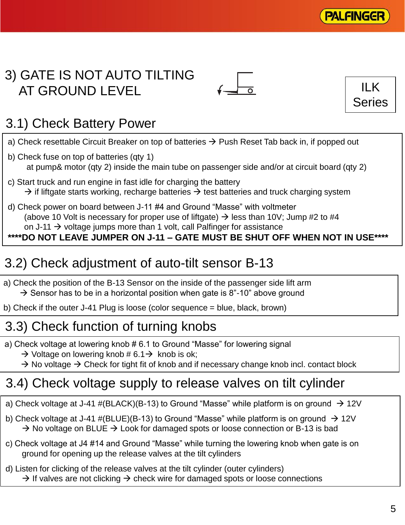

### 3) GATE IS NOT AUTO TILTING AT GROUND LEVEL





# 3.1) Check Battery Power

- a) Check resettable Circuit Breaker on top of batteries  $\rightarrow$  Push Reset Tab back in, if popped out
- b) Check fuse on top of batteries (qty 1) at pump& motor (qty 2) inside the main tube on passenger side and/or at circuit board (qty 2)
- c) Start truck and run engine in fast idle for charging the battery  $\rightarrow$  if liftgate starts working, recharge batteries  $\rightarrow$  test batteries and truck charging system
- d) Check power on board between J-11 #4 and Ground "Masse" with voltmeter (above 10 Volt is necessary for proper use of liftgate)  $\rightarrow$  less than 10V; Jump #2 to #4 on J-11  $\rightarrow$  voltage jumps more than 1 volt, call Palfinger for assistance

#### **\*\*\*\*DO NOT LEAVE JUMPER ON J-11 – GATE MUST BE SHUT OFF WHEN NOT IN USE\*\*\*\***

# 3.2) Check adjustment of auto-tilt sensor B-13

a) Check the position of the B-13 Sensor on the inside of the passenger side lift arm  $\rightarrow$  Sensor has to be in a horizontal position when gate is 8"-10" above ground

b) Check if the outer J-41 Plug is loose (color sequence = blue, black, brown)

# 3.3) Check function of turning knobs

a) Check voltage at lowering knob # 6.1 to Ground "Masse" for lowering signal

 $\rightarrow$  Voltage on lowering knob # 6.1  $\rightarrow$  knob is ok;

 $\rightarrow$  No voltage  $\rightarrow$  Check for tight fit of knob and if necessary change knob incl. contact block

# 3.4) Check voltage supply to release valves on tilt cylinder

- a) Check voltage at J-41 #(BLACK)(B-13) to Ground "Masse" while platform is on ground  $\rightarrow$  12V
- b) Check voltage at J-41 #(BLUE)(B-13) to Ground "Masse" while platform is on ground  $\rightarrow$  12V  $\rightarrow$  No voltage on BLUE  $\rightarrow$  Look for damaged spots or loose connection or B-13 is bad
- c) Check voltage at J4 #14 and Ground "Masse" while turning the lowering knob when gate is on ground for opening up the release valves at the tilt cylinders
- d) Listen for clicking of the release valves at the tilt cylinder (outer cylinders)  $\rightarrow$  If valves are not clicking  $\rightarrow$  check wire for damaged spots or loose connections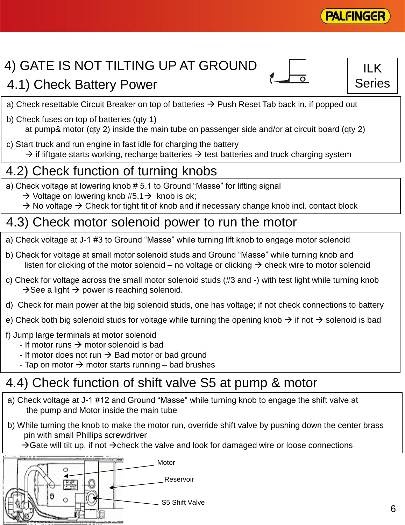

# 4) GATE IS NOT TILTING UP AT GROUND

### 4.1) Check Battery Power

ILK **Series** 

a) Check resettable Circuit Breaker on top of batteries  $\rightarrow$  Push Reset Tab back in, if popped out

- b) Check fuses on top of batteries (qty 1) at pump& motor (qty 2) inside the main tube on passenger side and/or at circuit board (qty 2)
- c) Start truck and run engine in fast idle for charging the battery

 $\rightarrow$  if liftgate starts working, recharge batteries  $\rightarrow$  test batteries and truck charging system

### 4.2) Check function of turning knobs

- a) Check voltage at lowering knob # 5.1 to Ground "Masse" for lifting signal
	- $\rightarrow$  Voltage on lowering knob #5.1  $\rightarrow$  knob is ok;
	- $\rightarrow$  No voltage  $\rightarrow$  Check for tight fit of knob and if necessary change knob incl. contact block

# 4.3) Check motor solenoid power to run the motor

- a) Check voltage at J-1 #3 to Ground "Masse" while turning lift knob to engage motor solenoid
- b) Check for voltage at small motor solenoid studs and Ground "Masse" while turning knob and listen for clicking of the motor solenoid – no voltage or clicking  $\rightarrow$  check wire to motor solenoid
- c) Check for voltage across the small motor solenoid studs (#3 and -) with test light while turning knob  $\rightarrow$  See a light  $\rightarrow$  power is reaching solenoid.
- d) Check for main power at the big solenoid studs, one has voltage; if not check connections to battery
- e) Check both big solenoid studs for voltage while turning the opening knob  $\rightarrow$  if not  $\rightarrow$  solenoid is bad
- f) Jump large terminals at motor solenoid
	- If motor runs  $\rightarrow$  motor solenoid is bad
	- If motor does not run  $\rightarrow$  Bad motor or bad ground
	- Tap on motor  $\rightarrow$  motor starts running bad brushes

# 4.4) Check function of shift valve S5 at pump & motor

- a) Check voltage at J-1 #12 and Ground "Masse" while turning knob to engage the shift valve at the pump and Motor inside the main tube
- b) While turning the knob to make the motor run, override shift valve by pushing down the center brass pin with small Phillips screwdriver

 $\rightarrow$  Gate will tilt up, if not  $\rightarrow$  check the valve and look for damaged wire or loose connections

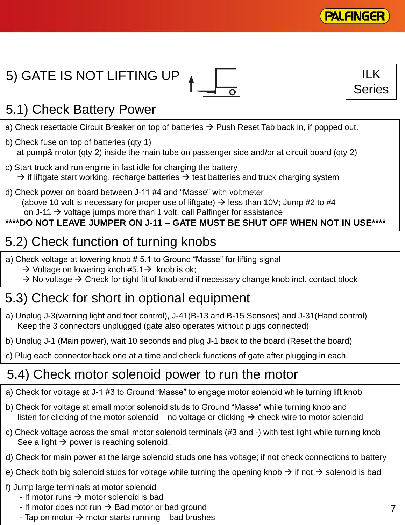

ILK

Series

# 5) GATE IS NOT LIFTING UP



# 5.1) Check Battery Power

- a) Check resettable Circuit Breaker on top of batteries  $\rightarrow$  Push Reset Tab back in, if popped out.
- b) Check fuse on top of batteries (qty 1) at pump& motor (qty 2) inside the main tube on passenger side and/or at circuit board (qty 2)
- c) Start truck and run engine in fast idle for charging the battery  $\rightarrow$  if liftgate start working, recharge batteries  $\rightarrow$  test batteries and truck charging system
- d) Check power on board between J-11 #4 and "Masse" with voltmeter (above 10 volt is necessary for proper use of liftgate)  $\rightarrow$  less than 10V; Jump #2 to #4 on J-11  $\rightarrow$  voltage jumps more than 1 volt, call Palfinger for assistance

#### **\*\*\*\*DO NOT LEAVE JUMPER ON J-11 – GATE MUST BE SHUT OFF WHEN NOT IN USE\*\*\*\***

# 5.2) Check function of turning knobs

- a) Check voltage at lowering knob # 5.1 to Ground "Masse" for lifting signal
	- $\rightarrow$  Voltage on lowering knob #5.1 $\rightarrow$  knob is ok;
	- $\rightarrow$  No voltage  $\rightarrow$  Check for tight fit of knob and if necessary change knob incl. contact block

# 5.3) Check for short in optional equipment

- a) Unplug J-3(warning light and foot control), J-41(B-13 and B-15 Sensors) and J-31(Hand control) Keep the 3 connectors unplugged (gate also operates without plugs connected)
- b) Unplug J-1 (Main power), wait 10 seconds and plug J-1 back to the board (Reset the board)
- c) Plug each connector back one at a time and check functions of gate after plugging in each.

# 5.4) Check motor solenoid power to run the motor

- a) Check for voltage at J-1 #3 to Ground "Masse" to engage motor solenoid while turning lift knob
- b) Check for voltage at small motor solenoid studs to Ground "Masse" while turning knob and listen for clicking of the motor solenoid – no voltage or clicking  $\rightarrow$  check wire to motor solenoid
- c) Check voltage across the small motor solenoid terminals (#3 and -) with test light while turning knob See a light  $\rightarrow$  power is reaching solenoid.
- d) Check for main power at the large solenoid studs one has voltage; if not check connections to battery
- e) Check both big solenoid studs for voltage while turning the opening knob  $\rightarrow$  if not  $\rightarrow$  solenoid is bad
- f) Jump large terminals at motor solenoid
	- If motor runs  $\rightarrow$  motor solenoid is bad
	- If motor does not run  $\rightarrow$  Bad motor or bad ground
	- Tap on motor  $\rightarrow$  motor starts running bad brushes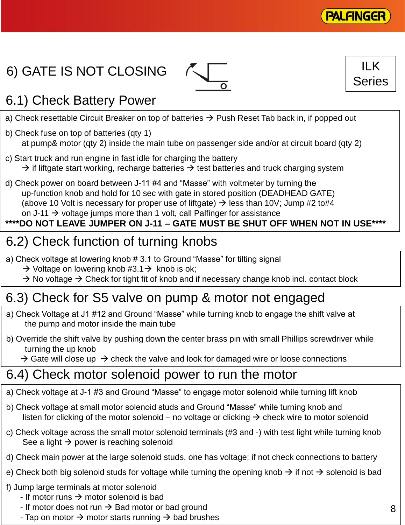

# 6) GATE IS NOT CLOSING





## 6.1) Check Battery Power

- a) Check resettable Circuit Breaker on top of batteries  $\rightarrow$  Push Reset Tab back in, if popped out
- b) Check fuse on top of batteries (qty 1) at pump& motor (qty 2) inside the main tube on passenger side and/or at circuit board (qty 2)
- c) Start truck and run engine in fast idle for charging the battery  $\rightarrow$  if liftgate start working, recharge batteries  $\rightarrow$  test batteries and truck charging system
- d) Check power on board between J-11 #4 and "Masse" with voltmeter by turning the up-function knob and hold for 10 sec with gate in stored position (DEADHEAD GATE) (above 10 Volt is necessary for proper use of liftgate)  $\rightarrow$  less than 10V; Jump #2 to#4 on J-11  $\rightarrow$  voltage jumps more than 1 volt, call Palfinger for assistance

### **\*\*\*\*DO NOT LEAVE JUMPER ON J-11 – GATE MUST BE SHUT OFF WHEN NOT IN USE\*\*\*\***

# 6.2) Check function of turning knobs

- a) Check voltage at lowering knob # 3.1 to Ground "Masse" for tilting signal
	- $\rightarrow$  Voltage on lowering knob #3.1  $\rightarrow$  knob is ok;
	- $\rightarrow$  No voltage  $\rightarrow$  Check for tight fit of knob and if necessary change knob incl. contact block

### 6.3) Check for S5 valve on pump & motor not engaged

- a) Check Voltage at J1 #12 and Ground "Masse" while turning knob to engage the shift valve at the pump and motor inside the main tube
- b) Override the shift valve by pushing down the center brass pin with small Phillips screwdriver while turning the up knob
	- $\rightarrow$  Gate will close up  $\rightarrow$  check the valve and look for damaged wire or loose connections

### 6.4) Check motor solenoid power to run the motor

- a) Check voltage at J-1 #3 and Ground "Masse" to engage motor solenoid while turning lift knob
- b) Check voltage at small motor solenoid studs and Ground "Masse" while turning knob and listen for clicking of the motor solenoid – no voltage or clicking  $\rightarrow$  check wire to motor solenoid
- c) Check voltage across the small motor solenoid terminals (#3 and -) with test light while turning knob See a light  $\rightarrow$  power is reaching solenoid
- d) Check main power at the large solenoid studs, one has voltage; if not check connections to battery
- e) Check both big solenoid studs for voltage while turning the opening knob  $\rightarrow$  if not  $\rightarrow$  solenoid is bad
- f) Jump large terminals at motor solenoid
	- If motor runs  $\rightarrow$  motor solenoid is bad
	- If motor does not run  $\rightarrow$  Bad motor or bad ground
	- Tap on motor  $\rightarrow$  motor starts running  $\rightarrow$  bad brushes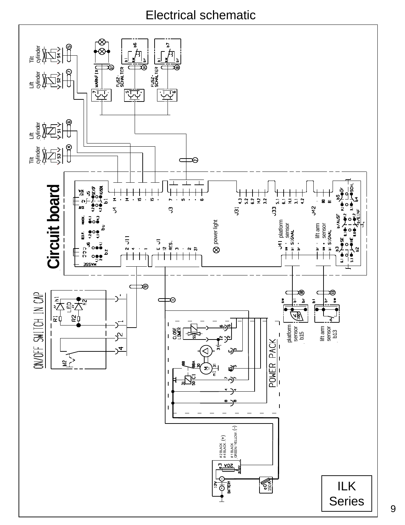### Electrical schematic